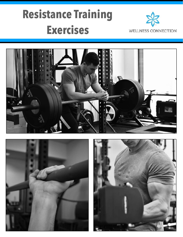### **Resistance Training Exercises**







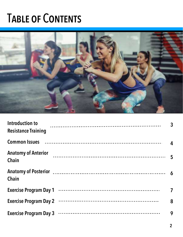### T**ABLE OF** C**ONTENTS**



| Introduction to<br><b>Resistance Training</b>                                                                                                                                                                                  |                |
|--------------------------------------------------------------------------------------------------------------------------------------------------------------------------------------------------------------------------------|----------------|
| Common Issues (and all and all and all and all and all and all and all and all and all and all and all and all and all and all and all and all and all and all and all and all and all and all and all and all and all and all | $\overline{4}$ |
| <b>Anatomy of Anterior</b><br>Chain                                                                                                                                                                                            |                |
| Chain                                                                                                                                                                                                                          |                |
|                                                                                                                                                                                                                                |                |
| <b>Exercise Program Day 2</b>                                                                                                                                                                                                  | 8              |
| <b>Exercise Program Day 3</b>                                                                                                                                                                                                  | 9              |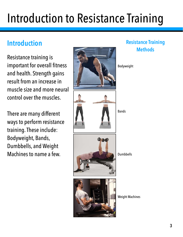# Introduction to Resistance Training

### **Introduction**

Resistance training is important for overall fitness and health. Strength gains result from an increase in muscle size and more neural control over the muscles.

There are many different ways to perform resistance training. These include: Bodyweight, Bands, Dumbbells, and Weight Machines to name a few.



#### **Resistance Training Methods**

Bodyweight

**Bands** 

Dumbbells

Weight Machines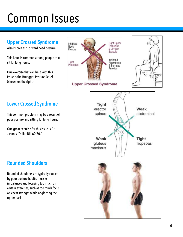### Common Issues

#### **Upper Crossed Syndrome**

Also known as "Forward head posture."

This issue is common among people that sit for long hours.

One exercise that can help with this issue is the Bruegger Posture Relief (shown on the right).



#### **Lower Crossed Syndrome**

This common problem may be a result of poor posture and sitting for long hours.

One great exercise for this issue is Dr. Jason's "Dollar Bill 60/60."

#### **Rounded Shoulders**

Rounded shoulders are typically caused by poor posture habits, muscle imbalances and focusing too much on certain exercises, such as too much focus on chest strength while neglecting the upper back.

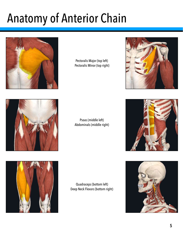## Anatomy of Anterior Chain



Pectoralis Major (top left) Pectoralis Minor (top right)





Psoas (middle left) Abdominals (middle right)



Quadraceps (bottom left) Deep Neck Flexors (bottom right)



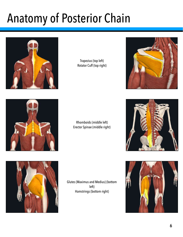## Anatomy of Posterior Chain



Trapezius (top left) Rotator Cuff (top right)





Rhomboids (middle left) Erector Spinae (middle right)



Glutes (Maximus and Medius) (bottom left) Hamstrings (bottom right)



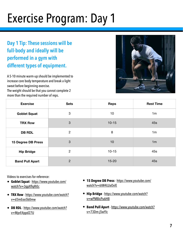## Exercise Program: Day 1

**Day 1 Tip: These sessions will be full-body and ideally will be performed in a gym with different types of equipment.**

A 5-10 minute warm-up should be implemented to increase core body temperature and break a light sweat before beginning exercise. The weight should be that you cannot complete 2 more than the required number of reps.



| <b>Exercise</b>        | <b>Sets</b>    | <b>Reps</b> | <b>Rest Time</b> |
|------------------------|----------------|-------------|------------------|
| <b>Goblet Squat</b>    | 3              | 10          | 1 <sub>m</sub>   |
| <b>TRX Row</b>         | 3              | $10 - 15$   | 45s              |
| <b>DB RDL</b>          | $\overline{2}$ | 8           | 1 <sub>m</sub>   |
| 15 Degree DB Press     | 3              | 10          | 1 <sub>m</sub>   |
| <b>Hip Bridge</b>      | $\overline{2}$ | $10 - 15$   | 45s              |
| <b>Band Pull Apart</b> | $\overline{2}$ | $15 - 20$   | 45s              |

Videos to exercises for reference:

- **Goblet Squat** - [https://www.youtube.com/](https://www.youtube.com/watch?v=3gpXflqRiEc) [watch?v=3gpXflqRiEc](https://www.youtube.com/watch?v=3gpXflqRiEc)
- **TRX Row** - [https://www.youtube.com/watch?](https://www.youtube.com/watch?v=d3mEoo5b0mw) [v=d3mEoo5b0mw](https://www.youtube.com/watch?v=d3mEoo5b0mw)
- **DB RDL** [https://www.youtube.com/watch?](https://www.youtube.com/watch?v=MprE4ppd27U) [v=MprE4ppd27U](https://www.youtube.com/watch?v=MprE4ppd27U)
- **15 Degree DB Press** [https://www.youtube.com/](https://www.youtube.com/watch?v=6tW4LUaOxlE) [watch?v=6tW4LUaOxlE](https://www.youtube.com/watch?v=6tW4LUaOxlE)
- **Hip Bridge** [https://www.youtube.com/watch?](https://www.youtube.com/watch?v=wPM8icPu6H8) [v=wPM8icPu6H8](https://www.youtube.com/watch?v=wPM8icPu6H8)
- **Band Pull Apart** [https://www.youtube.com/watch?](https://www.youtube.com/watch?v=73Dm-j5wYIc) [v=73Dm-j5wYIc](https://www.youtube.com/watch?v=73Dm-j5wYIc)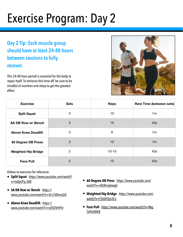## Exercise Program: Day 2

#### **Day 2 Tip: Each muscle group should have at least 24-48 hours between sessions to fully recover.**

This 24-48 hour period is essential for the body to repair itself. To enhance this time off, be sure to be mindful of nutrition and sleep to get the greatest effect.



| <b>Exercise</b>            | <b>Sets</b> | <b>Reps</b> | <b>Rest Time (between sets)</b> |
|----------------------------|-------------|-------------|---------------------------------|
| <b>Split Squat</b>         | 3           | 10          | 1 <sub>m</sub>                  |
| <b>SA DB Row w/ Bench</b>  | 3           | 10          | 45s                             |
| <b>Above Knee Deadlift</b> | 3           | 6           | 1 <sub>m</sub>                  |
| 60 Degree DB Press         | 3           | 10          | 1 <sub>m</sub>                  |
| <b>Weighted Hip Bridge</b> | 2           | $10 - 15$   | 45s                             |
| <b>Face Pull</b>           | 2           | 15          | 45s                             |

Videos to exercises for reference:

- **Split Squat** - [https://www.youtube.com/watch?](https://www.youtube.com/watch?v=la0pLPq-3A8) [v=la0pLPq-3A8](https://www.youtube.com/watch?v=la0pLPq-3A8)
- **SA DB Row w/ Bench** - [https://](https://www.youtube.com/watch?v=tCv7d0msdJE) [www.youtube.com/watch?v=tCv7d0msdJE](https://www.youtube.com/watch?v=tCv7d0msdJE)
- **Above Knee Deadlift** - [https://](https://www.youtube.com/watch?v=eZlIjTkHFhI) [www.youtube.com/watch?v=eZlIjTkHFhI](https://www.youtube.com/watch?v=eZlIjTkHFhI)
- **60 Degree DB Press** [https://www.youtube.com/](https://www.youtube.com/watch?v=zRz8mqlewgk) [watch?v=zRz8mqlewgk](https://www.youtube.com/watch?v=zRz8mqlewgk)
- **Weighted Hip Bridge** - [https://www.youtube.com/](https://www.youtube.com/watch?v=FSiUH5jn3Cs) [watch?v=FSiUH5jn3Cs](https://www.youtube.com/watch?v=FSiUH5jn3Cs)
- **Face Pull** [https://www.youtube.com/watch?v=Wq-](https://www.youtube.com/watch?v=Wq-Td9UXRK8)[Td9UXRK8](https://www.youtube.com/watch?v=Wq-Td9UXRK8)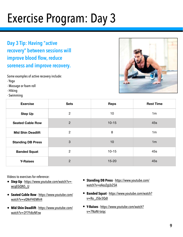## Exercise Program: Day 3

**Day 3 Tip: Having "active recovery" between sessions will improve blood flow, reduce soreness and improve recovery.** 

Some examples of active recovery include:

- Yoga
- Massage or foam roll
- Hiking
- Swimming



| <b>Exercise</b>          | <b>Sets</b>    | <b>Reps</b> | <b>Rest Time</b> |
|--------------------------|----------------|-------------|------------------|
| <b>Step Up</b>           | $\overline{2}$ | 10          | 1 <sub>m</sub>   |
| <b>Seated Cable Row</b>  | 2              | $10 - 15$   | 45s              |
| <b>Mid Shin Deadlift</b> | $\overline{2}$ | 8           | 1 <sub>m</sub>   |
| <b>Standing DB Press</b> | 3              | 10          | 1 <sub>m</sub>   |
| <b>Banded Squat</b>      | $\overline{2}$ | $10 - 15$   | 45s              |
| <b>Y-Raises</b>          | $\overline{2}$ | $15 - 20$   | 45s              |

Videos to exercises for reference:

- **Step Up** - [https://www.youtube.com/watch?v=](https://www.youtube.com/watch?v=-wcgEGQN5_U) wcaEGQN5\_U
- **Seated Cable Row** - [https://www.youtube.com/](https://www.youtube.com/watch?v=xQNrFHEMhI4) [watch?v=xQNrFHEMhI4](https://www.youtube.com/watch?v=xQNrFHEMhI4)
- **Mid Shin Deadlift** - [https://www.youtube.com/](https://www.youtube.com/watch?v=2F7FdtzNFzw) [watch?v=2F7FdtzNFzw](https://www.youtube.com/watch?v=2F7FdtzNFzw)
- **Standing DB Press** [https://www.youtube.com/](https://www.youtube.com/watch?v=eAozZgLb25A) [watch?v=eAozZgLb25A](https://www.youtube.com/watch?v=eAozZgLb25A)
- **Banded Squat** - [https://www.youtube.com/watch?](https://www.youtube.com/watch?v=Ro_J5br3QdI) [v=Ro\\_J5br3QdI](https://www.youtube.com/watch?v=Ro_J5br3QdI)
- **Y-Raises** - [https://www.youtube.com/watch?](https://www.youtube.com/watch?v=7NaNt-txiqc) [v=7NaNt-txiqc](https://www.youtube.com/watch?v=7NaNt-txiqc)